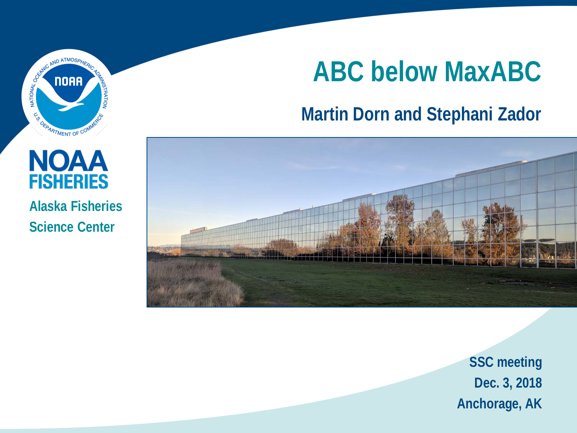

# **ABC below MaxABC**

#### **Martin Dorn and Stephani Zador**



**SSC meeting Dec. 3, 2018 Anchorage, AK** 

#### **NOAA FISHERIES Alaska Fisheries Science Center**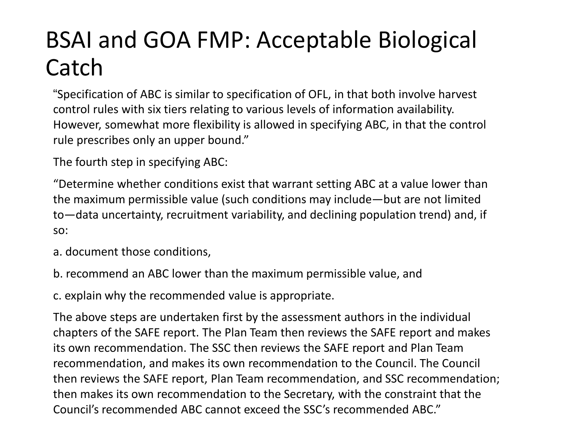# BSAI and GOA FMP: Acceptable Biological Catch

"Specification of ABC is similar to specification of OFL, in that both involve harvest control rules with six tiers relating to various levels of information availability. However, somewhat more flexibility is allowed in specifying ABC, in that the control rule prescribes only an upper bound."

The fourth step in specifying ABC:

"Determine whether conditions exist that warrant setting ABC at a value lower than the maximum permissible value (such conditions may include—but are not limited to—data uncertainty, recruitment variability, and declining population trend) and, if so:

a. document those conditions,

b. recommend an ABC lower than the maximum permissible value, and

c. explain why the recommended value is appropriate.

The above steps are undertaken first by the assessment authors in the individual chapters of the SAFE report. The Plan Team then reviews the SAFE report and makes its own recommendation. The SSC then reviews the SAFE report and Plan Team recommendation, and makes its own recommendation to the Council. The Council then reviews the SAFE report, Plan Team recommendation, and SSC recommendation; then makes its own recommendation to the Secretary, with the constraint that the Council's recommended ABC cannot exceed the SSC's recommended ABC."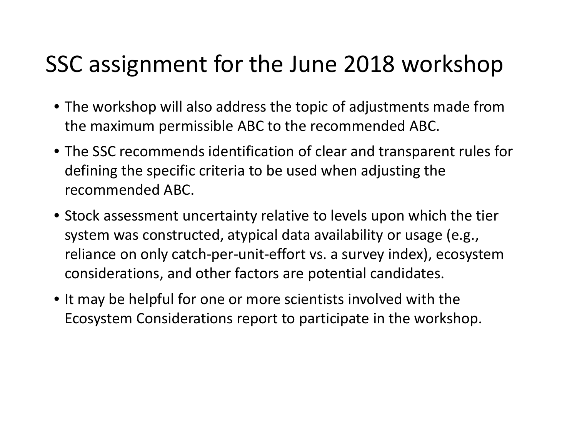### SSC assignment for the June 2018 workshop

- The workshop will also address the topic of adjustments made from the maximum permissible ABC to the recommended ABC.
- The SSC recommends identification of clear and transparent rules for defining the specific criteria to be used when adjusting the recommended ABC.
- Stock assessment uncertainty relative to levels upon which the tier system was constructed, atypical data availability or usage (e.g., reliance on only catch-per-unit-effort vs. a survey index), ecosystem considerations, and other factors are potential candidates.
- It may be helpful for one or more scientists involved with the Ecosystem Considerations report to participate in the workshop.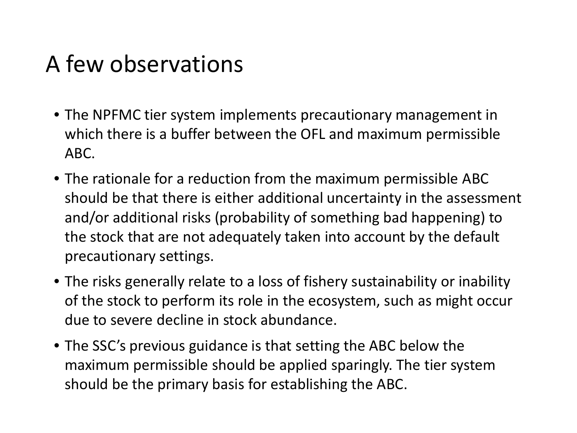### A few observations

- The NPFMC tier system implements precautionary management in which there is a buffer between the OFL and maximum permissible ABC.
- The rationale for a reduction from the maximum permissible ABC should be that there is either additional uncertainty in the assessment and/or additional risks (probability of something bad happening) to the stock that are not adequately taken into account by the default precautionary settings.
- The risks generally relate to a loss of fishery sustainability or inability of the stock to perform its role in the ecosystem, such as might occur due to severe decline in stock abundance.
- The SSC's previous guidance is that setting the ABC below the maximum permissible should be applied sparingly. The tier system should be the primary basis for establishing the ABC.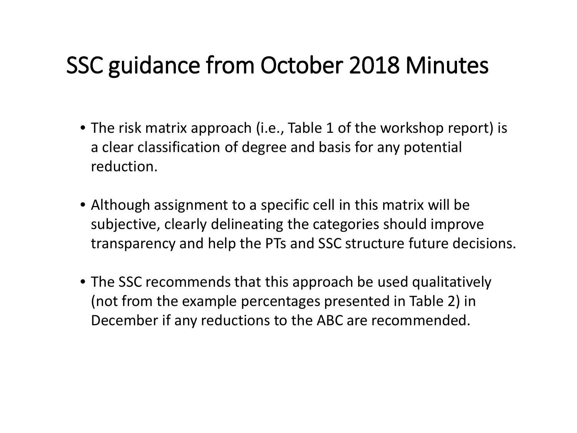### SSC guidance from October 2018 Minutes

- The risk matrix approach (i.e., Table 1 of the workshop report) is a clear classification of degree and basis for any potential reduction.
- Although assignment to a specific cell in this matrix will be subjective, clearly delineating the categories should improve transparency and help the PTs and SSC structure future decisions.
- The SSC recommends that this approach be used qualitatively (not from the example percentages presented in Table 2) in December if any reductions to the ABC are recommended.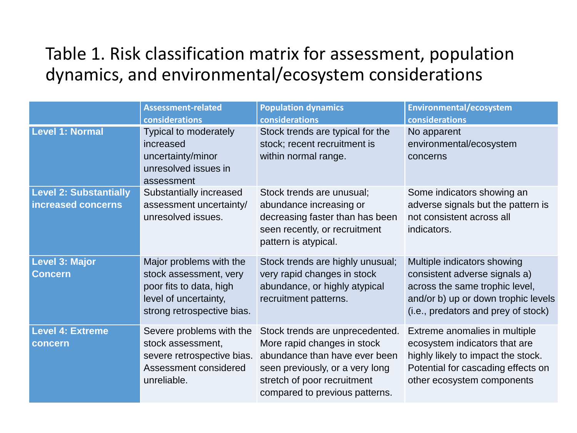#### Table 1. Risk classification matrix for assessment, population dynamics, and environmental/ecosystem considerations

|                                                     | <b>Assessment-related</b>                                                                                                           | <b>Population dynamics</b>                                                                                                                                                                          | <b>Environmental/ecosystem</b>                                                                                                                                               |
|-----------------------------------------------------|-------------------------------------------------------------------------------------------------------------------------------------|-----------------------------------------------------------------------------------------------------------------------------------------------------------------------------------------------------|------------------------------------------------------------------------------------------------------------------------------------------------------------------------------|
|                                                     | considerations                                                                                                                      | considerations                                                                                                                                                                                      | considerations                                                                                                                                                               |
| <b>Level 1: Normal</b>                              | Typical to moderately<br>increased<br>uncertainty/minor<br>unresolved issues in<br>assessment                                       | Stock trends are typical for the<br>stock; recent recruitment is<br>within normal range.                                                                                                            | No apparent<br>environmental/ecosystem<br>concerns                                                                                                                           |
| <b>Level 2: Substantially</b><br>increased concerns | Substantially increased<br>assessment uncertainty/<br>unresolved issues.                                                            | Stock trends are unusual;<br>abundance increasing or<br>decreasing faster than has been<br>seen recently, or recruitment<br>pattern is atypical.                                                    | Some indicators showing an<br>adverse signals but the pattern is<br>not consistent across all<br>indicators.                                                                 |
| <b>Level 3: Major</b><br><b>Concern</b>             | Major problems with the<br>stock assessment, very<br>poor fits to data, high<br>level of uncertainty,<br>strong retrospective bias. | Stock trends are highly unusual;<br>very rapid changes in stock<br>abundance, or highly atypical<br>recruitment patterns.                                                                           | Multiple indicators showing<br>consistent adverse signals a)<br>across the same trophic level,<br>and/or b) up or down trophic levels<br>(i.e., predators and prey of stock) |
| <b>Level 4: Extreme</b><br>concern                  | Severe problems with the<br>stock assessment,<br>severe retrospective bias.<br>Assessment considered<br>unreliable.                 | Stock trends are unprecedented.<br>More rapid changes in stock<br>abundance than have ever been<br>seen previously, or a very long<br>stretch of poor recruitment<br>compared to previous patterns. | Extreme anomalies in multiple<br>ecosystem indicators that are<br>highly likely to impact the stock.<br>Potential for cascading effects on<br>other ecosystem components     |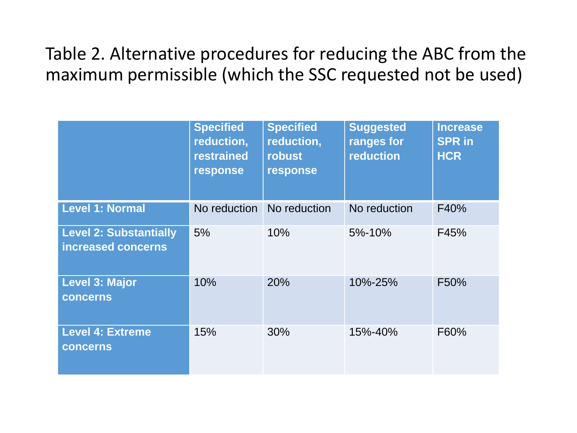#### Table 2. Alternative procedures for reducing the ABC from the maximum permissible (which the SSC requested not be used)

|                                                     | <b>Specified</b><br>reduction,<br><b>restrained</b><br>response | <b>Specified</b><br>reduction,<br>robust<br>response | <b>Suggested</b><br>ranges for<br>reduction | <b>Increase</b><br><b>SPR in</b><br><b>HCR</b> |
|-----------------------------------------------------|-----------------------------------------------------------------|------------------------------------------------------|---------------------------------------------|------------------------------------------------|
| <b>Level 1: Normal</b>                              | No reduction                                                    | No reduction                                         | No reduction                                | F40%                                           |
| <b>Level 2: Substantially</b><br>increased concerns | 5%                                                              | 10%                                                  | 5%-10%                                      | F45%                                           |
| <b>Level 3: Major</b><br><b>concerns</b>            | 10%                                                             | <b>20%</b>                                           | 10%-25%                                     | F50%                                           |
| <b>Level 4: Extreme</b><br><b>concerns</b>          | 15%                                                             | 30%                                                  | 15%-40%                                     | F60%                                           |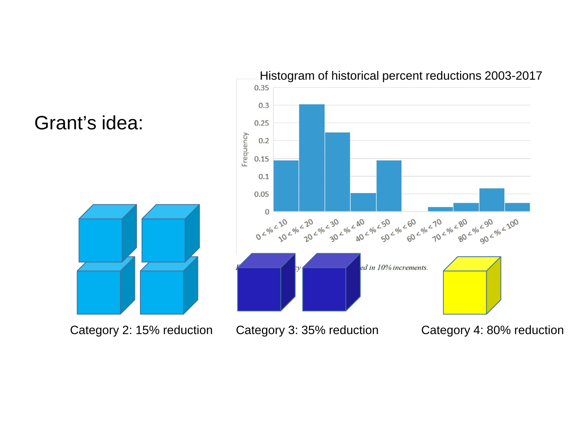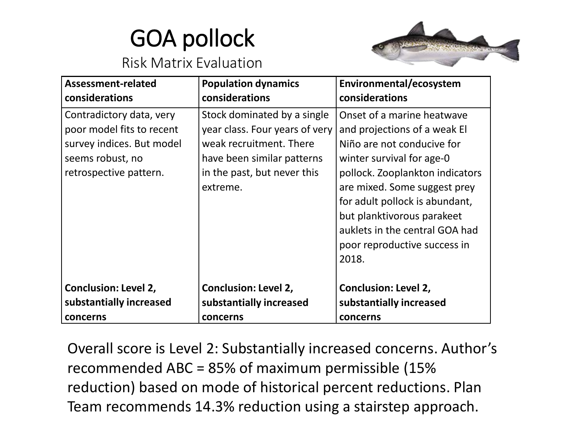# GOA pollock



#### Risk Matrix Evaluation

| Assessment-related                                                                                                               | <b>Population dynamics</b>                                                                                                                                        | Environmental/ecosystem                                                                                                                                                                                                                                                                                                             |
|----------------------------------------------------------------------------------------------------------------------------------|-------------------------------------------------------------------------------------------------------------------------------------------------------------------|-------------------------------------------------------------------------------------------------------------------------------------------------------------------------------------------------------------------------------------------------------------------------------------------------------------------------------------|
| considerations                                                                                                                   | considerations                                                                                                                                                    | considerations                                                                                                                                                                                                                                                                                                                      |
| Contradictory data, very<br>poor model fits to recent<br>survey indices. But model<br>seems robust, no<br>retrospective pattern. | Stock dominated by a single<br>year class. Four years of very<br>weak recruitment. There<br>have been similar patterns<br>in the past, but never this<br>extreme. | Onset of a marine heatwave<br>and projections of a weak El<br>Niño are not conducive for<br>winter survival for age-0<br>pollock. Zooplankton indicators<br>are mixed. Some suggest prey<br>for adult pollock is abundant,<br>but planktivorous parakeet<br>auklets in the central GOA had<br>poor reproductive success in<br>2018. |
| <b>Conclusion: Level 2,</b>                                                                                                      | <b>Conclusion: Level 2,</b>                                                                                                                                       | <b>Conclusion: Level 2,</b>                                                                                                                                                                                                                                                                                                         |
| substantially increased                                                                                                          | substantially increased                                                                                                                                           | substantially increased                                                                                                                                                                                                                                                                                                             |
| concerns                                                                                                                         | concerns                                                                                                                                                          | concerns                                                                                                                                                                                                                                                                                                                            |

Overall score is Level 2: Substantially increased concerns. Author's recommended ABC = 85% of maximum permissible (15% reduction) based on mode of historical percent reductions. Plan Team recommends 14.3% reduction using a stairstep approach.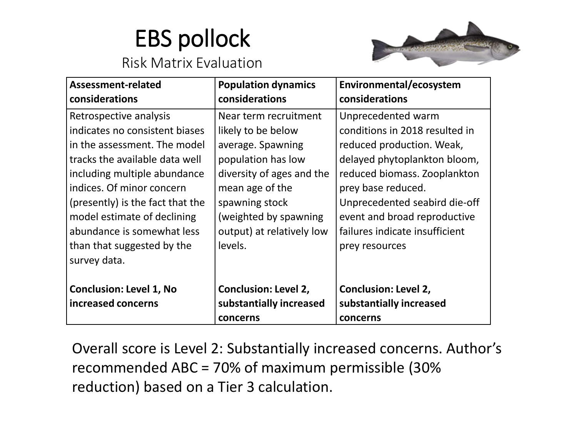# EBS pollock



## Risk Matrix Evaluation

| Assessment-related               | <b>Population dynamics</b>  | Environmental/ecosystem        |
|----------------------------------|-----------------------------|--------------------------------|
| considerations                   | considerations              | considerations                 |
| Retrospective analysis           | Near term recruitment       | Unprecedented warm             |
| indicates no consistent biases   | likely to be below          | conditions in 2018 resulted in |
| in the assessment. The model     | average. Spawning           | reduced production. Weak,      |
| tracks the available data well   | population has low          | delayed phytoplankton bloom,   |
| including multiple abundance     | diversity of ages and the   | reduced biomass. Zooplankton   |
| indices. Of minor concern        | mean age of the             | prey base reduced.             |
| (presently) is the fact that the | spawning stock              | Unprecedented seabird die-off  |
| model estimate of declining      | (weighted by spawning       | event and broad reproductive   |
| abundance is somewhat less       | output) at relatively low   | failures indicate insufficient |
| than that suggested by the       | levels.                     | prey resources                 |
| survey data.                     |                             |                                |
|                                  |                             |                                |
| <b>Conclusion: Level 1, No</b>   | <b>Conclusion: Level 2,</b> | <b>Conclusion: Level 2,</b>    |
| increased concerns               | substantially increased     | substantially increased        |
|                                  | concerns                    | concerns                       |

Overall score is Level 2: Substantially increased concerns. Author's recommended ABC = 70% of maximum permissible (30% reduction) based on a Tier 3 calculation.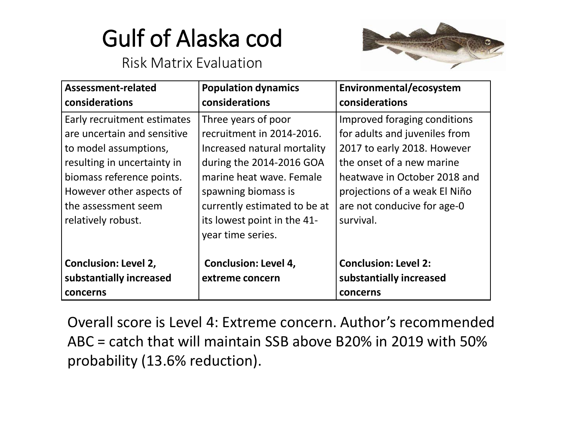# Gulf of Alaska cod

#### Risk Matrix Evaluation



| Assessment-related<br>considerations                                                                                                                                                                                     | <b>Population dynamics</b><br>considerations                                                                                                                                                                                                       | Environmental/ecosystem<br>considerations                                                                                                                                                                                              |
|--------------------------------------------------------------------------------------------------------------------------------------------------------------------------------------------------------------------------|----------------------------------------------------------------------------------------------------------------------------------------------------------------------------------------------------------------------------------------------------|----------------------------------------------------------------------------------------------------------------------------------------------------------------------------------------------------------------------------------------|
| Early recruitment estimates<br>are uncertain and sensitive<br>to model assumptions,<br>resulting in uncertainty in<br>biomass reference points.<br>However other aspects of<br>the assessment seem<br>relatively robust. | Three years of poor<br>recruitment in 2014-2016.<br>Increased natural mortality<br>during the 2014-2016 GOA<br>marine heat wave. Female<br>spawning biomass is<br>currently estimated to be at<br>its lowest point in the 41-<br>year time series. | Improved foraging conditions<br>for adults and juveniles from<br>2017 to early 2018. However<br>the onset of a new marine<br>heatwave in October 2018 and<br>projections of a weak El Niño<br>are not conducive for age-0<br>survival. |
| <b>Conclusion: Level 2,</b><br>substantially increased<br>concerns                                                                                                                                                       | <b>Conclusion: Level 4,</b><br>extreme concern                                                                                                                                                                                                     | <b>Conclusion: Level 2:</b><br>substantially increased<br>concerns                                                                                                                                                                     |

Overall score is Level 4: Extreme concern. Author's recommended ABC = catch that will maintain SSB above B20% in 2019 with 50% probability (13.6% reduction).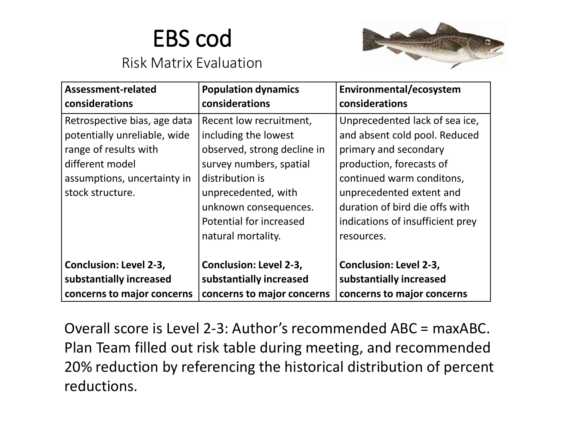### EBS cod

#### Risk Matrix Evaluation



| Assessment-related            | <b>Population dynamics</b>    | Environmental/ecosystem          |
|-------------------------------|-------------------------------|----------------------------------|
| considerations                | considerations                | considerations                   |
| Retrospective bias, age data  | Recent low recruitment,       | Unprecedented lack of sea ice,   |
| potentially unreliable, wide  | including the lowest          | and absent cold pool. Reduced    |
| range of results with         | observed, strong decline in   | primary and secondary            |
| different model               | survey numbers, spatial       | production, forecasts of         |
| assumptions, uncertainty in   | distribution is               | continued warm conditons,        |
| stock structure.              | unprecedented, with           | unprecedented extent and         |
|                               | unknown consequences.         | duration of bird die offs with   |
|                               | Potential for increased       | indications of insufficient prey |
|                               | natural mortality.            | resources.                       |
|                               |                               |                                  |
| <b>Conclusion: Level 2-3,</b> | <b>Conclusion: Level 2-3,</b> | <b>Conclusion: Level 2-3,</b>    |
| substantially increased       | substantially increased       | substantially increased          |
| concerns to major concerns    | concerns to major concerns    | concerns to major concerns       |

Overall score is Level 2-3: Author's recommended ABC = maxABC. Plan Team filled out risk table during meeting, and recommended 20% reduction by referencing the historical distribution of percent reductions.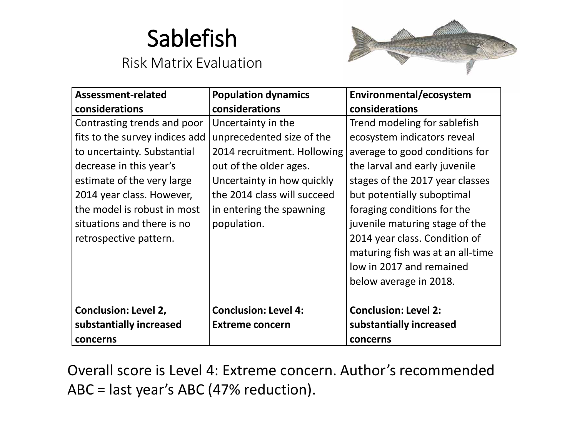### Sablefish

#### Risk Matrix Evaluation



| Assessment-related             | <b>Population dynamics</b>  | Environmental/ecosystem          |
|--------------------------------|-----------------------------|----------------------------------|
| considerations                 | considerations              | considerations                   |
| Contrasting trends and poor    | Uncertainty in the          | Trend modeling for sablefish     |
| fits to the survey indices add | unprecedented size of the   | ecosystem indicators reveal      |
| to uncertainty. Substantial    | 2014 recruitment. Hollowing | average to good conditions for   |
| decrease in this year's        | out of the older ages.      | the larval and early juvenile    |
| estimate of the very large     | Uncertainty in how quickly  | stages of the 2017 year classes  |
| 2014 year class. However,      | the 2014 class will succeed | but potentially suboptimal       |
| the model is robust in most    | in entering the spawning    | foraging conditions for the      |
| situations and there is no     | population.                 | juvenile maturing stage of the   |
| retrospective pattern.         |                             | 2014 year class. Condition of    |
|                                |                             | maturing fish was at an all-time |
|                                |                             | low in 2017 and remained         |
|                                |                             | below average in 2018.           |
|                                |                             |                                  |
| <b>Conclusion: Level 2,</b>    | <b>Conclusion: Level 4:</b> | <b>Conclusion: Level 2:</b>      |
| substantially increased        | <b>Extreme concern</b>      | substantially increased          |
| concerns                       |                             | concerns                         |

Overall score is Level 4: Extreme concern. Author's recommended ABC = last year's ABC (47% reduction).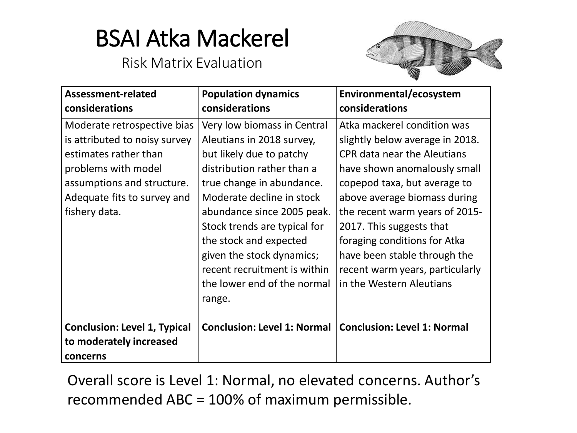### BSAI Atka Mackerel

#### Risk Matrix Evaluation



| Assessment-related<br>considerations                                                                                                                                                       | <b>Population dynamics</b><br>considerations                                                                                                                                                                                                                                                                                                                               | Environmental/ecosystem<br>considerations                                                                                                                                                                                                                                                                                                                                                         |
|--------------------------------------------------------------------------------------------------------------------------------------------------------------------------------------------|----------------------------------------------------------------------------------------------------------------------------------------------------------------------------------------------------------------------------------------------------------------------------------------------------------------------------------------------------------------------------|---------------------------------------------------------------------------------------------------------------------------------------------------------------------------------------------------------------------------------------------------------------------------------------------------------------------------------------------------------------------------------------------------|
| Moderate retrospective bias<br>is attributed to noisy survey<br>estimates rather than<br>problems with model<br>assumptions and structure.<br>Adequate fits to survey and<br>fishery data. | Very low biomass in Central<br>Aleutians in 2018 survey,<br>but likely due to patchy<br>distribution rather than a<br>true change in abundance.<br>Moderate decline in stock<br>abundance since 2005 peak.<br>Stock trends are typical for<br>the stock and expected<br>given the stock dynamics;<br>recent recruitment is within<br>the lower end of the normal<br>range. | Atka mackerel condition was<br>slightly below average in 2018.<br><b>CPR data near the Aleutians</b><br>have shown anomalously small<br>copepod taxa, but average to<br>above average biomass during<br>the recent warm years of 2015-<br>2017. This suggests that<br>foraging conditions for Atka<br>have been stable through the<br>recent warm years, particularly<br>in the Western Aleutians |
| <b>Conclusion: Level 1, Typical</b><br>to moderately increased<br>concerns                                                                                                                 |                                                                                                                                                                                                                                                                                                                                                                            | Conclusion: Level 1: Normal   Conclusion: Level 1: Normal                                                                                                                                                                                                                                                                                                                                         |

Overall score is Level 1: Normal, no elevated concerns. Author's recommended ABC = 100% of maximum permissible.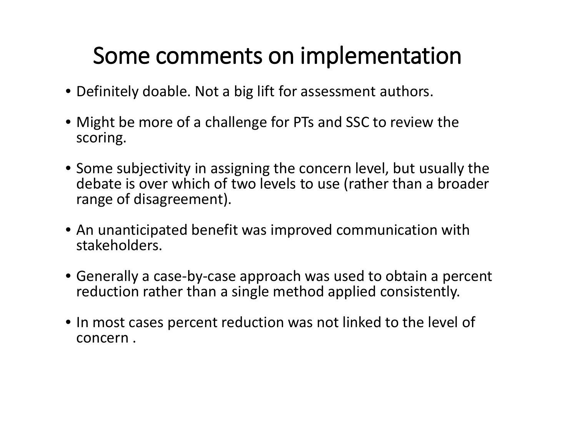### Some comments on implementation

- Definitely doable. Not a big lift for assessment authors.
- Might be more of a challenge for PTs and SSC to review the scoring.
- Some subjectivity in assigning the concern level, but usually the debate is over which of two levels to use (rather than a broader range of disagreement).
- An unanticipated benefit was improved communication with stakeholders.
- Generally a case-by-case approach was used to obtain a percent reduction rather than a single method applied consistently.
- In most cases percent reduction was not linked to the level of concern .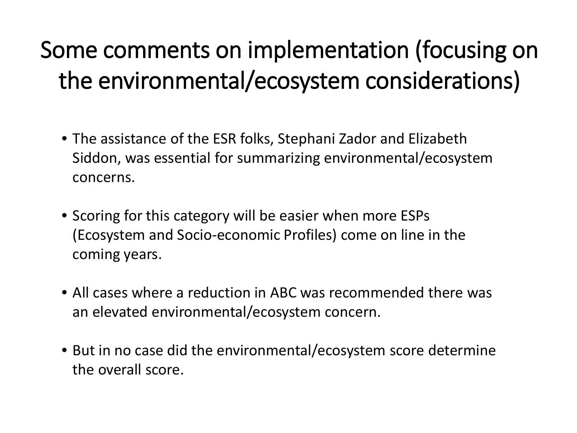# Some comments on implementation (focusing on the environmental/ecosystem considerations)

- The assistance of the ESR folks, Stephani Zador and Elizabeth Siddon, was essential for summarizing environmental/ecosystem concerns.
- Scoring for this category will be easier when more ESPs (Ecosystem and Socio-economic Profiles) come on line in the coming years.
- All cases where a reduction in ABC was recommended there was an elevated environmental/ecosystem concern.
- But in no case did the environmental/ecosystem score determine the overall score.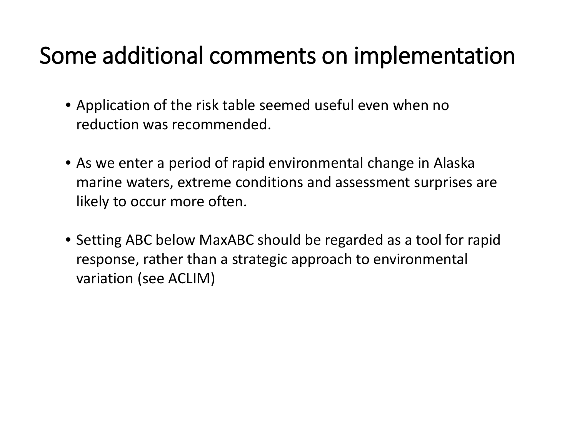### Some additional comments on implementation

- Application of the risk table seemed useful even when no reduction was recommended.
- As we enter a period of rapid environmental change in Alaska marine waters, extreme conditions and assessment surprises are likely to occur more often.
- Setting ABC below MaxABC should be regarded as a tool for rapid response, rather than a strategic approach to environmental variation (see ACLIM)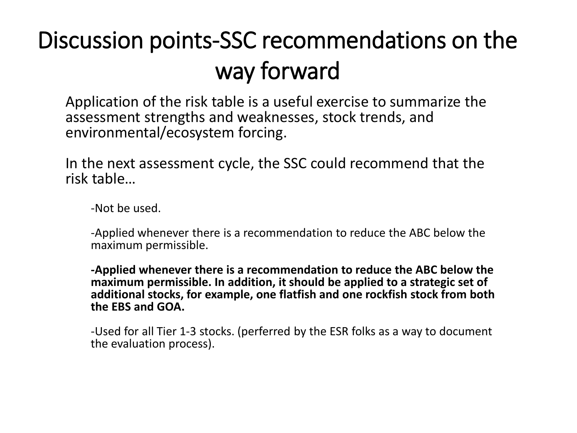# Discussion points-SSC recommendations on the way forward

Application of the risk table is a useful exercise to summarize the assessment strengths and weaknesses, stock trends, and environmental/ecosystem forcing.

In the next assessment cycle, the SSC could recommend that the risk table…

-Not be used.

-Applied whenever there is a recommendation to reduce the ABC below the maximum permissible.

**-Applied whenever there is a recommendation to reduce the ABC below the maximum permissible. In addition, it should be applied to a strategic set of additional stocks, for example, one flatfish and one rockfish stock from both the EBS and GOA.**

-Used for all Tier 1-3 stocks. (perferred by the ESR folks as a way to document the evaluation process).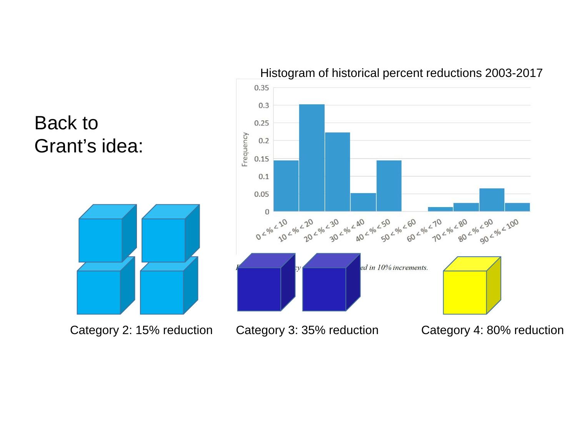

#### Histogram of historical percent reductions 2003-2017